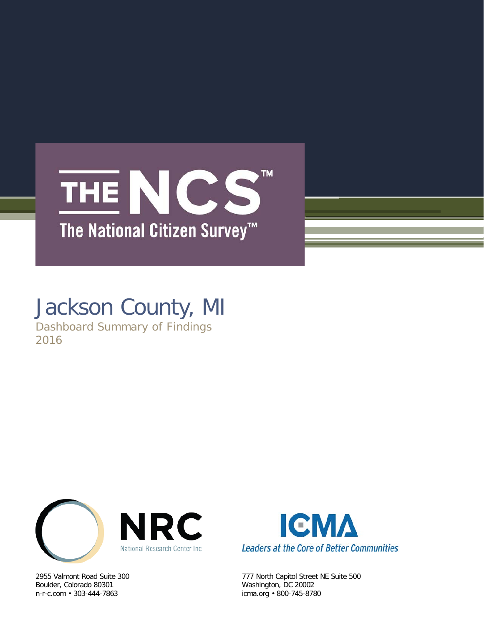## TM. THE NCS The National Citizen Survey<sup>™</sup>

## Jackson County, MI

Dashboard Summary of Findings 2016



Boulder, Colorado 80301 Washington, DC 20002 n-r-c.com • 303-444-7863 icma.org • 800-745-8780



2955 Valmont Road Suite 300 777 North Capitol Street NE Suite 500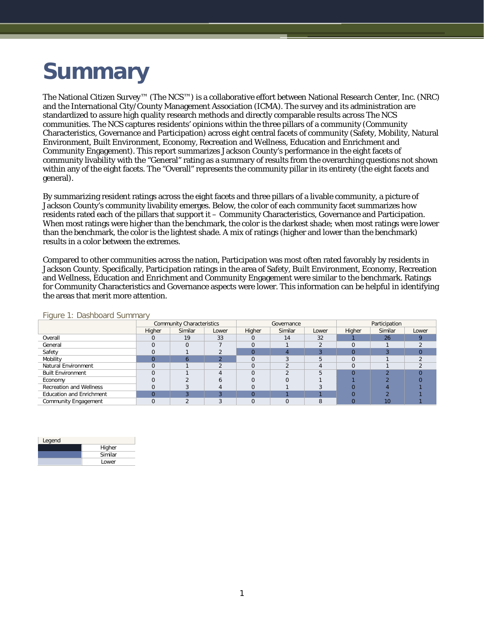# **Summary**

The National Citizen Survey™ (The NCS™) is a collaborative effort between National Research Center, Inc. (NRC) and the International City/County Management Association (ICMA). The survey and its administration are standardized to assure high quality research methods and directly comparable results across The NCS communities. The NCS captures residents' opinions within the three pillars of a community (Community Characteristics, Governance and Participation) across eight central facets of community (Safety, Mobility, Natural Environment, Built Environment, Economy, Recreation and Wellness, Education and Enrichment and Community Engagement). This report summarizes Jackson County's performance in the eight facets of community livability with the "General" rating as a summary of results from the overarching questions not shown within any of the eight facets. The "Overall" represents the community pillar in its entirety (the eight facets and general).

By summarizing resident ratings across the eight facets and three pillars of a livable community, a picture of Jackson County's community livability emerges. Below, the color of each community facet summarizes how residents rated each of the pillars that support it – Community Characteristics, Governance and Participation. When most ratings were higher than the benchmark, the color is the darkest shade; when most ratings were lower than the benchmark, the color is the lightest shade. A mix of ratings (higher and lower than the benchmark) results in a color between the extremes.

Compared to other communities across the nation, Participation was most often rated favorably by residents in Jackson County. Specifically, Participation ratings in the area of Safety, Built Environment, Economy, Recreation and Wellness, Education and Enrichment and Community Engagement were similar to the benchmark. Ratings for Community Characteristics and Governance aspects were lower. This information can be helpful in identifying the areas that merit more attention.

|                                 |          | <b>Community Characteristics</b> |       |        | Governance |       | Participation |         |       |  |
|---------------------------------|----------|----------------------------------|-------|--------|------------|-------|---------------|---------|-------|--|
|                                 | Higher   | Similar                          | Lower | Higher | Similar    | Lower | Higher        | Similar | Lower |  |
| Overall                         |          | 19                               | 33    |        | 14         | 32    |               | 26      |       |  |
| General                         | $\Omega$ |                                  |       |        |            |       |               |         |       |  |
| Safety                          |          |                                  |       |        |            |       |               |         |       |  |
| Mobility                        |          |                                  |       |        |            |       |               |         |       |  |
| Natural Environment             |          |                                  |       |        |            |       |               |         |       |  |
| <b>Built Environment</b>        |          |                                  |       |        |            |       |               |         |       |  |
| Economy                         |          |                                  |       |        |            |       |               |         |       |  |
| <b>Recreation and Wellness</b>  |          |                                  |       |        |            |       |               |         |       |  |
| <b>Education and Enrichment</b> |          |                                  |       |        |            |       |               |         |       |  |
| <b>Community Engagement</b>     | $\Omega$ |                                  |       |        |            |       |               | 10      |       |  |

Figure 1: Dashboard Summary

| Legend |         |
|--------|---------|
|        | Higher  |
|        | Similar |
|        | Lower   |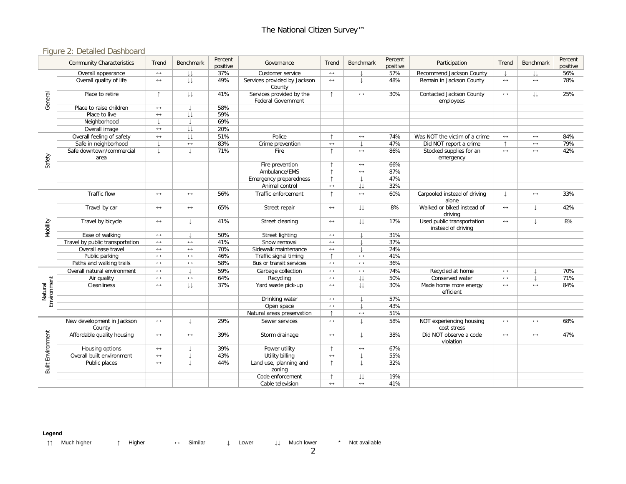### Figure 2: Detailed Dashboard

|                          | <b>Community Characteristics</b>     | Trend                    | <b>Benchmark</b>        | Percent<br>positive | Governance                                            | Trend                 | <b>Benchmark</b>       | Percent<br>positive | Participation                                    | Trend                 | <b>Benchmark</b>  | Percent<br>positive |
|--------------------------|--------------------------------------|--------------------------|-------------------------|---------------------|-------------------------------------------------------|-----------------------|------------------------|---------------------|--------------------------------------------------|-----------------------|-------------------|---------------------|
|                          | Overall appearance                   | $\leftrightarrow$        | $\downarrow \downarrow$ | 37%                 | Customer service                                      | $\longleftrightarrow$ |                        | 57%                 | Recommend Jackson County                         |                       | IJ                | 56%                 |
| General                  | Overall quality of life              | $\leftrightarrow$        | $\downarrow\downarrow$  | 49%                 | Services provided by Jackson<br>County                | $\leftrightarrow$     |                        | 48%                 | Remain in Jackson County                         | $\leftrightarrow$     | $\leftrightarrow$ | 78%                 |
|                          | Place to retire                      | $\uparrow$               | $\downarrow\downarrow$  | 41%                 | Services provided by the<br><b>Federal Government</b> | $\uparrow$            | $\leftrightarrow$      | 30%                 | Contacted Jackson County<br>employees            | $\longleftrightarrow$ | IJ                | 25%                 |
|                          | Place to raise children              | $\leftrightarrow$        |                         | 58%                 |                                                       |                       |                        |                     |                                                  |                       |                   |                     |
|                          | Place to live                        | $\leftrightarrow$        | $\downarrow\downarrow$  | 59%                 |                                                       |                       |                        |                     |                                                  |                       |                   |                     |
|                          | Neighborhood                         |                          | $\overline{1}$          | 69%                 |                                                       |                       |                        |                     |                                                  |                       |                   |                     |
|                          | Overall image                        | $\leftrightarrow$        | $\downarrow\downarrow$  | 20%                 |                                                       |                       |                        |                     |                                                  |                       |                   |                     |
| Safety                   | Overall feeling of safety            | $\leftrightarrow$        | $\downarrow\downarrow$  | 51%                 | Police                                                | $\uparrow$            | $\longleftrightarrow$  | 74%                 | Was NOT the victim of a crime                    | $\leftrightarrow$     | $\leftrightarrow$ | 84%                 |
|                          | Safe in neighborhood                 | $\overline{\phantom{a}}$ | $\leftrightarrow$       | 83%                 | Crime prevention                                      | $\leftrightarrow$     |                        | 47%                 | Did NOT report a crime                           | $\uparrow$            | $\leftrightarrow$ | 79%                 |
|                          | Safe downtown/commercial<br>area     | $\downarrow$             | $\mathsf T$             | 71%                 | Fire                                                  | $\uparrow$            | $\longleftrightarrow$  | 86%                 | Stocked supplies for an<br>emergency             | $\leftrightarrow$     | $\leftrightarrow$ | 42%                 |
|                          |                                      |                          |                         |                     | Fire prevention                                       | $\uparrow$            | $\longleftrightarrow$  | 66%                 |                                                  |                       |                   |                     |
|                          |                                      |                          |                         |                     | Ambulance/EMS                                         | $\uparrow$            | $\leftrightarrow$      | 87%                 |                                                  |                       |                   |                     |
|                          |                                      |                          |                         |                     | Emergency preparedness                                | $\uparrow$            |                        | 47%                 |                                                  |                       |                   |                     |
|                          |                                      |                          |                         |                     | Animal control                                        | $\leftrightarrow$     | $\downarrow\downarrow$ | 32%                 |                                                  |                       |                   |                     |
| Mobility                 | Traffic flow                         | $\longleftrightarrow$    | $\longleftrightarrow$   | 56%                 | Traffic enforcement                                   | $\uparrow$            | $\longleftrightarrow$  | 60%                 | Carpooled instead of driving<br>alone            |                       | $\leftrightarrow$ | 33%                 |
|                          | Travel by car                        | $\leftrightarrow$        | $\leftrightarrow$       | 65%                 | Street repair                                         | $\longleftrightarrow$ | $\downarrow\downarrow$ | 8%                  | Walked or biked instead of<br>driving            | $\leftrightarrow$     |                   | 42%                 |
|                          | Travel by bicycle                    | $\leftrightarrow$        |                         | 41%                 | Street cleaning                                       | $\leftrightarrow$     | $\downarrow\downarrow$ | 17%                 | Used public transportation<br>instead of driving | $\leftrightarrow$     | T                 | 8%                  |
|                          | Ease of walking                      | $\leftrightarrow$        |                         | 50%                 | <b>Street lighting</b>                                | $\leftrightarrow$     |                        | 31%                 |                                                  |                       |                   |                     |
|                          | Travel by public transportation      | $\leftrightarrow$        | $\leftrightarrow$       | 41%                 | Snow removal                                          | $\leftrightarrow$     |                        | 37%                 |                                                  |                       |                   |                     |
|                          | Overall ease travel                  | $\leftrightarrow$        | $\longleftrightarrow$   | 70%                 | Sidewalk maintenance                                  | $\longleftrightarrow$ |                        | 24%                 |                                                  |                       |                   |                     |
|                          | Public parking                       | $\leftrightarrow$        | $\longleftrightarrow$   | 46%                 | Traffic signal timing                                 | $\uparrow$            | $\leftrightarrow$      | 41%                 |                                                  |                       |                   |                     |
|                          | Paths and walking trails             | $\leftrightarrow$        | $\longleftrightarrow$   | 58%                 | Bus or transit services                               | $\leftrightarrow$     | $\leftrightarrow$      | 36%                 |                                                  |                       |                   |                     |
|                          | Overall natural environment          | $\longleftrightarrow$    |                         | 59%                 | Garbage collection                                    | $\longleftrightarrow$ | $\longleftrightarrow$  | 74%                 | Recycled at home                                 | $\longleftrightarrow$ |                   | 70%                 |
|                          | Air quality                          | $\leftrightarrow$        | $\longleftrightarrow$   | 64%                 | Recycling                                             | $\leftrightarrow$     | $\downarrow\downarrow$ | 50%                 | Conserved water                                  | $\leftrightarrow$     |                   | 71%                 |
| Environment<br>Natural   | Cleanliness                          | $\leftrightarrow$        | $\downarrow\downarrow$  | 37%                 | Yard waste pick-up                                    | $\leftrightarrow$     | $\downarrow\downarrow$ | 30%                 | Made home more energy<br>efficient               | $\leftrightarrow$     | $\leftrightarrow$ | 84%                 |
|                          |                                      |                          |                         |                     | Drinking water                                        | $\leftrightarrow$     |                        | 57%                 |                                                  |                       |                   |                     |
|                          |                                      |                          |                         |                     | Open space                                            | $\longleftrightarrow$ |                        | 43%                 |                                                  |                       |                   |                     |
|                          |                                      |                          |                         |                     | Natural areas preservation                            | $\uparrow$            | $\longleftrightarrow$  | 51%                 |                                                  |                       |                   |                     |
| <b>Built Environment</b> | New development in Jackson<br>County | $\leftrightarrow$        | $\downarrow$            | 29%                 | Sewer services                                        | $\leftrightarrow$     |                        | 58%                 | NOT experiencing housing<br>cost stress          | $\leftrightarrow$     | $\leftrightarrow$ | 68%                 |
|                          | Affordable quality housing           | $\longleftrightarrow$    | $\longleftrightarrow$   | 39%                 | Storm drainage                                        | $\longleftrightarrow$ |                        | 38%                 | Did NOT observe a code<br>violation              | $\leftrightarrow$     | $\leftrightarrow$ | 47%                 |
|                          | Housing options                      | $\leftrightarrow$        |                         | 39%                 | Power utility                                         | $\uparrow$            | $\leftrightarrow$      | 67%                 |                                                  |                       |                   |                     |
|                          | Overall built environment            | $\leftrightarrow$        |                         | 43%                 | Utility billing                                       | $\leftrightarrow$     |                        | 55%                 |                                                  |                       |                   |                     |
|                          | Public places                        | $\leftrightarrow$        |                         | 44%                 | Land use, planning and<br>zoning                      | $\uparrow$            |                        | 32%                 |                                                  |                       |                   |                     |
|                          |                                      |                          |                         |                     | Code enforcement                                      | ↑                     | $\downarrow\downarrow$ | 19%                 |                                                  |                       |                   |                     |
|                          |                                      |                          |                         |                     | Cable television                                      | $\leftrightarrow$     | $\leftrightarrow$      | 41%                 |                                                  |                       |                   |                     |

#### **Legend**

↑↑ Much higher ↑ Higher ↔ Similar ↓ Lower ↓↓ Much lower \* Not available